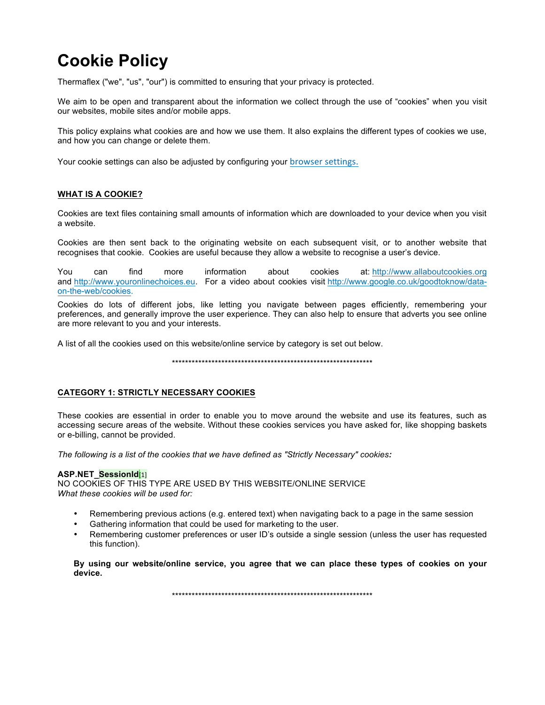# **Cookie Policy**

Thermaflex ("we", "us", "our") is committed to ensuring that your privacy is protected.

We aim to be open and transparent about the information we collect through the use of "cookies" when you visit our websites, mobile sites and/or mobile apps.

This policy explains what cookies are and how we use them. It also explains the different types of cookies we use, and how you can change or delete them.

Your cookie settings can also be adjusted by configuring your browser settings.

## **WHAT IS A COOKIE?**

Cookies are text files containing small amounts of information which are downloaded to your device when you visit a website.

Cookies are then sent back to the originating website on each subsequent visit, or to another website that recognises that cookie. Cookies are useful because they allow a website to recognise a user's device.

You can find more information about cookies at: http://www.allaboutcookies.org and http://www.youronlinechoices.eu. For a video about cookies visit http://www.google.co.uk/goodtoknow/dataon-the-web/cookies.

Cookies do lots of different jobs, like letting you navigate between pages efficiently, remembering your preferences, and generally improve the user experience. They can also help to ensure that adverts you see online are more relevant to you and your interests.

A list of all the cookies used on this website/online service by category is set out below.

\*\*\*\*\*\*\*\*\*\*\*\*\*\*\*\*\*\*\*\*\*\*\*\*\*\*\*\*\*\*\*\*\*\*\*\*\*\*\*\*\*\*\*\*\*\*\*\*\*\*\*\*\*\*\*\*\*\*\*\*\*

### **CATEGORY 1: STRICTLY NECESSARY COOKIES**

These cookies are essential in order to enable you to move around the website and use its features, such as accessing secure areas of the website. Without these cookies services you have asked for, like shopping baskets or e-billing, cannot be provided.

*The following is a list of the cookies that we have defined as "Strictly Necessary" cookies:*

### **ASP.NET\_SessionId**[1]

NO COOKIES OF THIS TYPE ARE USED BY THIS WEBSITE/ONLINE SERVICE *What these cookies will be used for:*

- Remembering previous actions (e.g. entered text) when navigating back to a page in the same session
- Gathering information that could be used for marketing to the user.
- Remembering customer preferences or user ID's outside a single session (unless the user has requested this function).

**By using our website/online service, you agree that we can place these types of cookies on your device.**

\*\*\*\*\*\*\*\*\*\*\*\*\*\*\*\*\*\*\*\*\*\*\*\*\*\*\*\*\*\*\*\*\*\*\*\*\*\*\*\*\*\*\*\*\*\*\*\*\*\*\*\*\*\*\*\*\*\*\*\*\*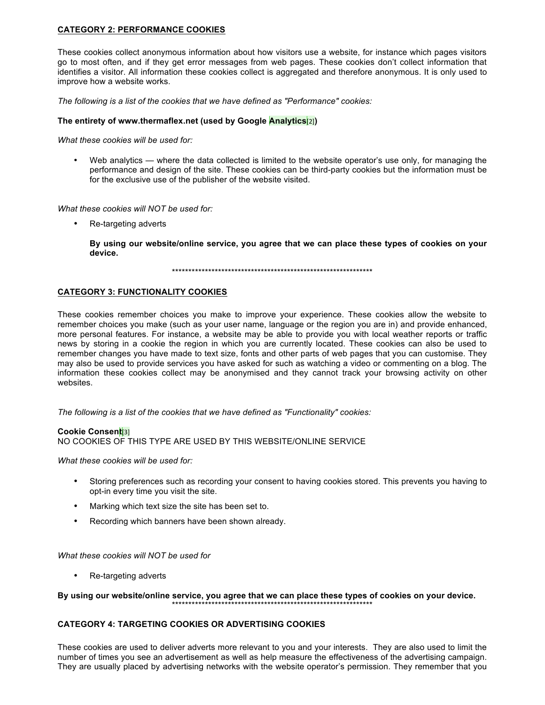# **CATEGORY 2: PERFORMANCE COOKIES**

These cookies collect anonymous information about how visitors use a website, for instance which pages visitors go to most often, and if they get error messages from web pages. These cookies don't collect information that identifies a visitor. All information these cookies collect is aggregated and therefore anonymous. It is only used to improve how a website works.

*The following is a list of the cookies that we have defined as "Performance" cookies:*

#### **The entirety of www.thermaflex.net (used by Google Analytics**[2]**)**

*What these cookies will be used for:*

• Web analytics — where the data collected is limited to the website operator's use only, for managing the performance and design of the site. These cookies can be third-party cookies but the information must be for the exclusive use of the publisher of the website visited.

*What these cookies will NOT be used for:*

• Re-targeting adverts

**By using our website/online service, you agree that we can place these types of cookies on your device.**

\*\*\*\*\*\*\*\*\*\*\*\*\*\*\*\*\*\*\*\*\*\*\*\*\*\*\*\*\*\*\*\*\*\*\*\*\*\*\*\*\*\*\*\*\*\*\*\*\*\*\*\*\*\*\*\*\*\*\*\*\*

#### **CATEGORY 3: FUNCTIONALITY COOKIES**

These cookies remember choices you make to improve your experience. These cookies allow the website to remember choices you make (such as your user name, language or the region you are in) and provide enhanced, more personal features. For instance, a website may be able to provide you with local weather reports or traffic news by storing in a cookie the region in which you are currently located. These cookies can also be used to remember changes you have made to text size, fonts and other parts of web pages that you can customise. They may also be used to provide services you have asked for such as watching a video or commenting on a blog. The information these cookies collect may be anonymised and they cannot track your browsing activity on other websites.

*The following is a list of the cookies that we have defined as "Functionality" cookies:*

#### **Cookie Consent**[3]

NO COOKIES OF THIS TYPE ARE USED BY THIS WEBSITE/ONLINE SERVICE

*What these cookies will be used for:*

- Storing preferences such as recording your consent to having cookies stored. This prevents you having to opt-in every time you visit the site.
- Marking which text size the site has been set to.
- Recording which banners have been shown already.

*What these cookies will NOT be used for*

• Re-targeting adverts

#### By using our website/online service, you agree that we can place these types of cookies on your device. \*\*\*\*\*\*\*\*\*\*\*\*\*\*\*\*\*\*\*\*\*\*\*\*\*\*\*\*\*\*\*\*\*\*\*\*\*\*\*\*\*\*\*\*\*\*\*\*\*\*\*\*\*\*\*\*\*\*\*\*\*

### **CATEGORY 4: TARGETING COOKIES OR ADVERTISING COOKIES**

These cookies are used to deliver adverts more relevant to you and your interests. They are also used to limit the number of times you see an advertisement as well as help measure the effectiveness of the advertising campaign. They are usually placed by advertising networks with the website operator's permission. They remember that you